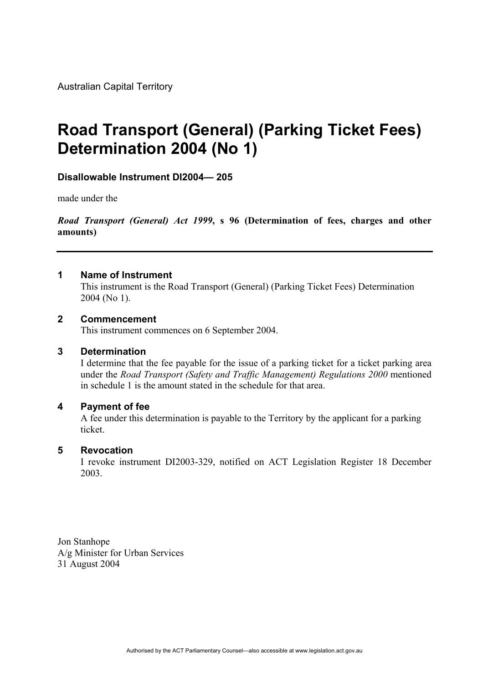Australian Capital Territory

# **Road Transport (General) (Parking Ticket Fees) Determination 2004 (No 1)**

#### **Disallowable Instrument DI2004— 205**

made under the

*Road Transport (General) Act 1999***, s 96 (Determination of fees, charges and other amounts)**

#### **1 Name of Instrument**

This instrument is the Road Transport (General) (Parking Ticket Fees) Determination 2004 (No 1).

#### **2 Commencement**

This instrument commences on 6 September 2004.

#### **3 Determination**

I determine that the fee payable for the issue of a parking ticket for a ticket parking area under the *Road Transport (Safety and Traffic Management) Regulations 2000* mentioned in schedule 1 is the amount stated in the schedule for that area.

#### **4 Payment of fee**

A fee under this determination is payable to the Territory by the applicant for a parking ticket.

#### **5 Revocation**

I revoke instrument DI2003-329, notified on ACT Legislation Register 18 December 2003.

Jon Stanhope A/g Minister for Urban Services 31 August 2004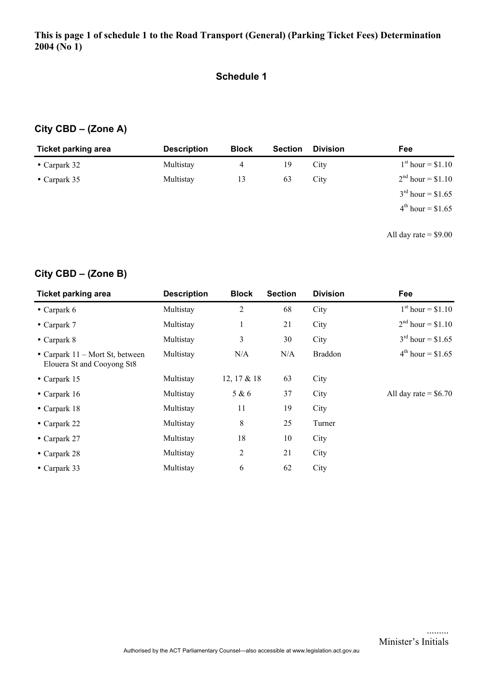#### **Schedule 1**

## **City CBD – (Zone A)**

| <b>Ticket parking area</b> | <b>Description</b> | <b>Block</b> | <b>Section</b> | <b>Division</b> | <b>Fee</b>             |
|----------------------------|--------------------|--------------|----------------|-----------------|------------------------|
| • Carpark $32$             | Multistay          | 4            | 19             | City            | $1st$ hour = \$1.10    |
| • Carpark $35$             | Multistay          | 13           | 63             | City            | $2nd$ hour = \$1.10    |
|                            |                    |              |                |                 | $3^{rd}$ hour = \$1.65 |
|                            |                    |              |                |                 | $4^{th}$ hour = \$1.65 |
|                            |                    |              |                |                 |                        |

All day rate  $=$  \$9.00

# **City CBD – (Zone B)**

| <b>Ticket parking area</b>                                      | <b>Description</b> | <b>Block</b> | <b>Section</b> | <b>Division</b> | Fee                    |
|-----------------------------------------------------------------|--------------------|--------------|----------------|-----------------|------------------------|
| $\bullet$ Carpark 6                                             | Multistay          | 2            | 68             | City            | $1st hour = $1.10$     |
| $\bullet$ Carpark 7                                             | Multistay          | $\mathbf{I}$ | 21             | City            | $2nd hour = $1.10$     |
| $\bullet$ Carpark 8                                             | Multistay          | 3            | 30             | City            | $3^{rd}$ hour = \$1.65 |
| • Carpark $11$ – Mort St, between<br>Elouera St and Cooyong St8 | Multistay          | N/A          | N/A            | <b>Braddon</b>  | $4^{th}$ hour = \$1.65 |
| $\bullet$ Carpark 15                                            | Multistay          | 12, 17 & 18  | 63             | City            |                        |
| • Carpark $16$                                                  | Multistay          | 5 & 6        | 37             | City            | All day rate = $$6.70$ |
| $\bullet$ Carpark 18                                            | Multistay          | 11           | 19             | City            |                        |
| $\bullet$ Carpark 22                                            | Multistay          | 8            | 25             | Turner          |                        |
| $\bullet$ Carpark 27                                            | Multistay          | 18           | 10             | City            |                        |
| $\bullet$ Carpark 28                                            | Multistay          | 2            | 21             | City            |                        |
| $\bullet$ Carpark 33                                            | Multistay          | 6            | 62             | City            |                        |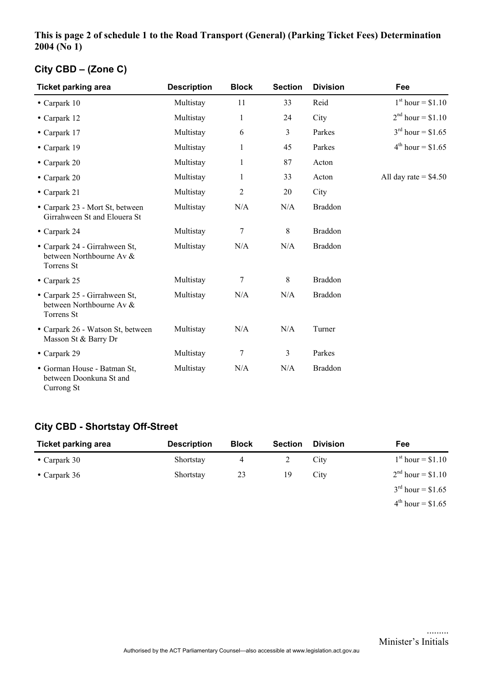#### **This is page 2 of schedule 1 to the Road Transport (General) (Parking Ticket Fees) Determination 2004 (No 1)**

# **City CBD – (Zone C)**

| <b>Ticket parking area</b>                                              | <b>Description</b> | <b>Block</b>   | <b>Section</b> | <b>Division</b> | Fee                     |
|-------------------------------------------------------------------------|--------------------|----------------|----------------|-----------------|-------------------------|
| $\bullet$ Carpark 10                                                    | Multistay          | 11             | 33             | Reid            | $1st$ hour = \$1.10     |
| • Carpark 12                                                            | Multistay          | $\mathbf{1}$   | 24             | City            | $2nd hour = $1.10$      |
| $\bullet$ Carpark 17                                                    | Multistay          | 6              | 3              | Parkes          | $3^{rd}$ hour = \$1.65  |
| $\bullet$ Carpark 19                                                    | Multistay          | $\mathbf{1}$   | 45             | Parkes          | $4^{th}$ hour = \$1.65  |
| $\bullet$ Carpark 20                                                    | Multistay          | 1              | 87             | Acton           |                         |
| $\bullet$ Carpark 20                                                    | Multistay          | 1              | 33             | Acton           | All day rate $=$ \$4.50 |
| • Carpark $21$                                                          | Multistay          | $\overline{2}$ | 20             | City            |                         |
| • Carpark 23 - Mort St, between<br>Girrahween St and Elouera St         | Multistay          | N/A            | N/A            | <b>Braddon</b>  |                         |
| • Carpark 24                                                            | Multistay          | 7              | 8              | <b>Braddon</b>  |                         |
| • Carpark 24 - Girrahween St,<br>between Northbourne Av &<br>Torrens St | Multistay          | N/A            | N/A            | <b>Braddon</b>  |                         |
| $\bullet$ Carpark 25                                                    | Multistay          | 7              | 8              | <b>Braddon</b>  |                         |
| • Carpark 25 - Girrahween St,<br>between Northbourne Av &<br>Torrens St | Multistay          | N/A            | N/A            | <b>Braddon</b>  |                         |
| • Carpark 26 - Watson St, between<br>Masson St & Barry Dr               | Multistay          | N/A            | N/A            | Turner          |                         |
| $\bullet$ Carpark 29                                                    | Multistay          | 7              | 3              | Parkes          |                         |
| • Gorman House - Batman St,<br>between Doonkuna St and<br>Currong St    | Multistay          | N/A            | N/A            | <b>Braddon</b>  |                         |

## **City CBD - Shortstay Off-Street**

| <b>Ticket parking area</b> | <b>Description</b> | <b>Block</b> | <b>Section</b> | <b>Division</b> | Fee                    |
|----------------------------|--------------------|--------------|----------------|-----------------|------------------------|
| • Carpark $30$             | Shortstay          |              |                | City            | $1st$ hour = \$1.10    |
| • Carpark $36$             | Shortstay          | 23           | 19             | City            | $2nd hour = $1.10$     |
|                            |                    |              |                |                 | $3^{rd}$ hour = \$1.65 |
|                            |                    |              |                |                 | $4^{th}$ hour = \$1.65 |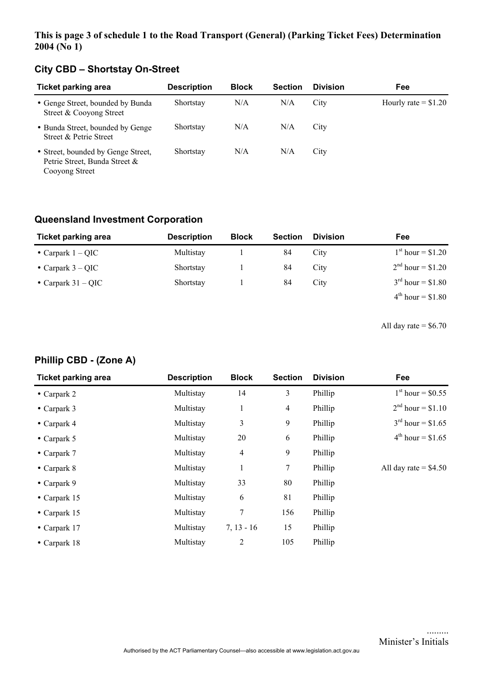#### **This is page 3 of schedule 1 to the Road Transport (General) (Parking Ticket Fees) Determination 2004 (No 1)**

# **City CBD – Shortstay On-Street**

| <b>Ticket parking area</b>                                                            | <b>Description</b> | <b>Block</b> | <b>Section</b> | <b>Division</b> | Fee                   |
|---------------------------------------------------------------------------------------|--------------------|--------------|----------------|-----------------|-----------------------|
| • Genge Street, bounded by Bunda<br>Street & Cooyong Street                           | Shortstay          | N/A          | N/A            | City            | Hourly rate $= $1.20$ |
| • Bunda Street, bounded by Genge<br>Street & Petrie Street                            | Shortstay          | N/A          | N/A            | City            |                       |
| • Street, bounded by Genge Street,<br>Petrie Street, Bunda Street &<br>Cooyong Street | Shortstay          | N/A          | N/A            | City            |                       |

## **Queensland Investment Corporation**

| <b>Ticket parking area</b> | <b>Description</b> | <b>Block</b> | <b>Section</b> | <b>Division</b> | Fee                    |
|----------------------------|--------------------|--------------|----------------|-----------------|------------------------|
| • Carpark $1 - QIC$        | Multistay          |              | 84             | City            | $1st hour = $1.20$     |
| • Carpark $3 - QIC$        | Shortstay          |              | 84             | City            | $2nd$ hour = \$1.20    |
| • Carpark $31 - QIC$       | Shortstay          |              | 84             | City            | $3^{rd}$ hour = \$1.80 |
|                            |                    |              |                |                 | $4^{th}$ hour = \$1.80 |

All day rate  $=$  \$6.70

#### **Phillip CBD - (Zone A)**

| <b>Ticket parking area</b> | <b>Description</b> | <b>Block</b>   | <b>Section</b> | <b>Division</b> | Fee                     |
|----------------------------|--------------------|----------------|----------------|-----------------|-------------------------|
| $\bullet$ Carpark 2        | Multistay          | 14             | 3              | Phillip         | $1st$ hour = \$0.55     |
| $\bullet$ Carpark 3        | Multistay          | $\mathbf{1}$   | 4              | Phillip         | $2nd hour = $1.10$      |
| $\bullet$ Carpark 4        | Multistay          | 3              | 9              | Phillip         | $3^{rd}$ hour = \$1.65  |
| $\bullet$ Carpark 5        | Multistay          | 20             | 6              | Phillip         | $4^{th}$ hour = \$1.65  |
| $\bullet$ Carpark 7        | Multistay          | 4              | 9              | Phillip         |                         |
| $\bullet$ Carpark 8        | Multistay          | 1              | $\tau$         | Phillip         | All day rate $=$ \$4.50 |
| $\bullet$ Carpark 9        | Multistay          | 33             | 80             | Phillip         |                         |
| $\bullet$ Carpark 15       | Multistay          | 6              | 81             | Phillip         |                         |
| $\bullet$ Carpark 15       | Multistay          | 7              | 156            | Phillip         |                         |
| $\bullet$ Carpark 17       | Multistay          | $7, 13 - 16$   | 15             | Phillip         |                         |
| $\bullet$ Carpark 18       | Multistay          | $\overline{2}$ | 105            | Phillip         |                         |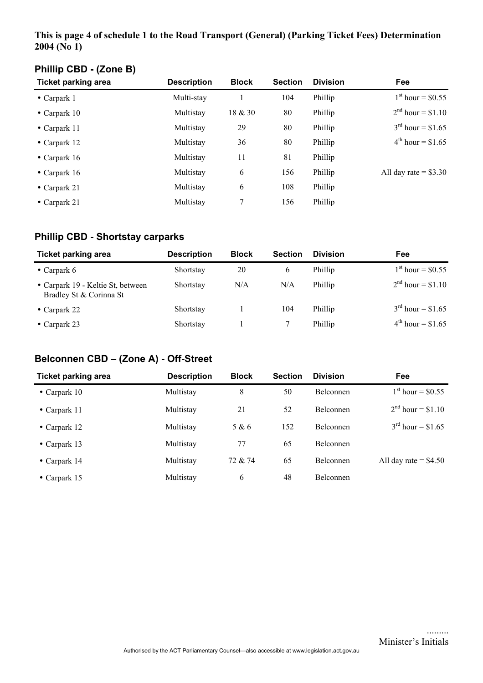#### **This is page 4 of schedule 1 to the Road Transport (General) (Parking Ticket Fees) Determination 2004 (No 1)**

| <b>Ticket parking area</b> | <b>Description</b> | <b>Block</b> | <b>Section</b> | <b>Division</b> | <b>Fee</b>                 |
|----------------------------|--------------------|--------------|----------------|-----------------|----------------------------|
| $\bullet$ Carpark 1        | Multi-stay         |              | 104            | Phillip         | $1^{\rm st}$ hour = \$0.55 |
| • Carpark $10$             | Multistay          | 18 & 30      | 80             | Phillip         | $2nd hour = $1.10$         |
| $\bullet$ Carpark 11       | Multistay          | 29           | 80             | Phillip         | $3^{rd}$ hour = \$1.65     |
| $\bullet$ Carpark 12       | Multistay          | 36           | 80             | Phillip         | $4^{th}$ hour = \$1.65     |
| $\bullet$ Carpark 16       | Multistay          | 11           | 81             | Phillip         |                            |
| $\bullet$ Carpark 16       | Multistay          | 6            | 156            | Phillip         | All day rate $=$ \$3.30    |
| $\bullet$ Carpark 21       | Multistay          | 6            | 108            | Phillip         |                            |
| • Carpark 21               | Multistay          | 7            | 156            | Phillip         |                            |
|                            |                    |              |                |                 |                            |

# **Phillip CBD - (Zone B)**

# **Phillip CBD - Shortstay carparks**

| <b>Ticket parking area</b>                                   | <b>Description</b> | <b>Block</b> | <b>Section</b> | <b>Division</b> | Fee                        |
|--------------------------------------------------------------|--------------------|--------------|----------------|-----------------|----------------------------|
| • Carpark $6$                                                | Shortstay          | 20           | 6              | Phillip         | $1^{\rm st}$ hour = \$0.55 |
| • Carpark 19 - Keltie St, between<br>Bradley St & Corinna St | Shortstay          | N/A          | N/A            | Phillip         | $2nd hour = $1.10$         |
| $\bullet$ Carpark 22                                         | Shortstay          |              | 104            | Phillip         | $3^{rd}$ hour = \$1.65     |
| • Carpark 23                                                 | Shortstay          |              |                | Phillip         | $4^{th}$ hour = \$1.65     |

### **Belconnen CBD – (Zone A) - Off-Street**

| <b>Ticket parking area</b> | <b>Description</b> | <b>Block</b> | <b>Section</b> | <b>Division</b>  | Fee                     |
|----------------------------|--------------------|--------------|----------------|------------------|-------------------------|
| • Carpark $10$             | Multistay          | 8            | 50             | <b>Belconnen</b> | $1^{st}$ hour = \$0.55  |
| • Carpark $11$             | Multistay          | 21           | 52             | <b>Belconnen</b> | $2nd hour = $1.10$      |
| $\bullet$ Carpark 12       | Multistay          | 5 & 6        | 152            | <b>Belconnen</b> | $3^{rd}$ hour = \$1.65  |
| • Carpark $13$             | Multistay          | 77           | 65             | <b>Belconnen</b> |                         |
| $\bullet$ Carpark 14       | Multistay          | 72 & 74      | 65             | <b>Belconnen</b> | All day rate $=$ \$4.50 |
| • Carpark $15$             | Multistay          | 6            | 48             | <b>Belconnen</b> |                         |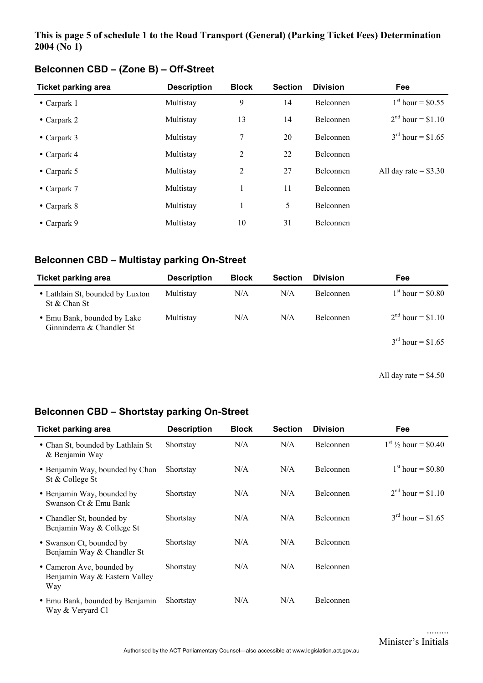#### **This is page 5 of schedule 1 to the Road Transport (General) (Parking Ticket Fees) Determination 2004 (No 1)**

| <b>Ticket parking area</b> | <b>Description</b> | <b>Block</b>   | <b>Section</b> | <b>Division</b>  | Fee                     |
|----------------------------|--------------------|----------------|----------------|------------------|-------------------------|
| $\bullet$ Carpark 1        | Multistay          | 9              | 14             | <b>Belconnen</b> | $1^{st}$ hour = \$0.55  |
| • Carpark $2$              | Multistay          | 13             | 14             | <b>Belconnen</b> | $2^{nd}$ hour = \$1.10  |
| • Carpark $3$              | Multistay          | 7              | 20             | <b>Belconnen</b> | $3^{rd}$ hour = \$1.65  |
| $\bullet$ Carpark 4        | Multistay          | 2              | 22             | Belconnen        |                         |
| $\bullet$ Carpark 5        | Multistay          | $\overline{2}$ | 27             | <b>Belconnen</b> | All day rate $=$ \$3.30 |
| $\bullet$ Carpark 7        | Multistay          | 1              | 11             | Belconnen        |                         |
| $\bullet$ Carpark 8        | Multistay          | 1              | 5              | Belconnen        |                         |
| $\bullet$ Carpark 9        | Multistay          | 10             | 31             | <b>Belconnen</b> |                         |

## **Belconnen CBD – (Zone B) – Off-Street**

## **Belconnen CBD – Multistay parking On-Street**

| <b>Ticket parking area</b>                               | <b>Description</b> | <b>Block</b> | <b>Section</b> | <b>Division</b>  | Fee                    |
|----------------------------------------------------------|--------------------|--------------|----------------|------------------|------------------------|
| • Lathlain St, bounded by Luxton<br>St & Chan St         | Multistay          | N/A          | N/A            | <b>Belconnen</b> | $1^{st}$ hour = \$0.80 |
| • Emu Bank, bounded by Lake<br>Ginninderra & Chandler St | Multistay          | N/A          | N/A            | <b>Belconnen</b> | $2nd$ hour = \$1.10    |
|                                                          |                    |              |                |                  | $3^{rd}$ hour = \$1.65 |

All day rate  $=$  \$4.50

## **Belconnen CBD – Shortstay parking On-Street**

| <b>Ticket parking area</b>                                        | <b>Description</b> | <b>Block</b> | <b>Section</b> | <b>Division</b>  | Fee                        |
|-------------------------------------------------------------------|--------------------|--------------|----------------|------------------|----------------------------|
| • Chan St, bounded by Lathlain St<br>& Benjamin Way               | Shortstay          | N/A          | N/A            | Belconnen        | $1^{st}$ 1/2 hour = \$0.40 |
| • Benjamin Way, bounded by Chan<br>St & College St                | Shortstay          | N/A          | N/A            | <b>Belconnen</b> | $1^{st}$ hour = \$0.80     |
| • Benjamin Way, bounded by<br>Swanson Ct & Emu Bank               | Shortstay          | N/A          | N/A            | <b>Belconnen</b> | $2^{nd}$ hour = \$1.10     |
| • Chandler St, bounded by<br>Benjamin Way & College St            | Shortstay          | N/A          | N/A            | Belconnen        | $3^{rd}$ hour = \$1.65     |
| • Swanson Ct, bounded by<br>Benjamin Way & Chandler St            | Shortstay          | N/A          | N/A            | <b>Belconnen</b> |                            |
| • Cameron Ave, bounded by<br>Benjamin Way & Eastern Valley<br>Way | Shortstay          | N/A          | N/A            | Belconnen        |                            |
| • Emu Bank, bounded by Benjamin<br>Way & Veryard Cl               | Shortstay          | N/A          | N/A            | Belconnen        |                            |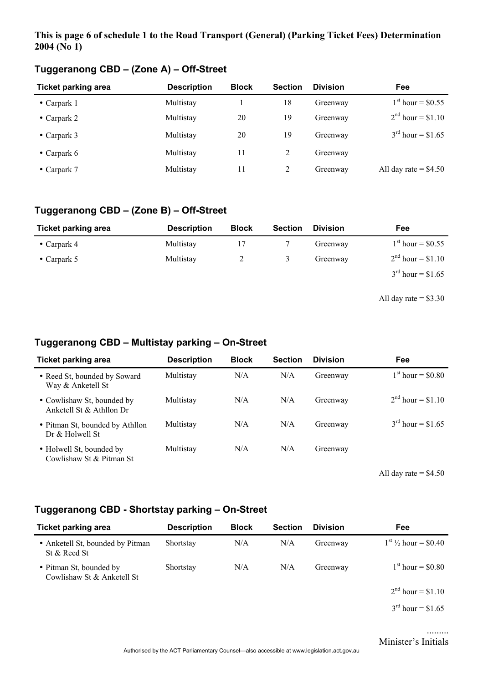#### **This is page 6 of schedule 1 to the Road Transport (General) (Parking Ticket Fees) Determination 2004 (No 1)**

| <b>Ticket parking area</b> | <b>Description</b> | <b>Block</b> | <b>Section</b> | <b>Division</b> | <b>Fee</b>              |
|----------------------------|--------------------|--------------|----------------|-----------------|-------------------------|
| $\bullet$ Carpark 1        | Multistay          |              | 18             | Greenway        | $1st$ hour = \$0.55     |
| • Carpark 2                | Multistay          | 20           | 19             | Greenway        | $2nd hour = $1.10$      |
| • Carpark $3$              | Multistay          | 20           | 19             | Greenway        | $3rd$ hour = \$1.65     |
| • Carpark $6$              | Multistay          | 11           | 2              | Greenway        |                         |
| • Carpark $7$              | Multistay          | 11           | 2              | Greenway        | All day rate $=$ \$4.50 |

# **Tuggeranong CBD – (Zone A) – Off-Street**

# **Tuggeranong CBD – (Zone B) – Off-Street**

| <b>Ticket parking area</b> | <b>Description</b> | <b>Block</b> | <b>Section</b> | <b>Division</b> | Fee                    |
|----------------------------|--------------------|--------------|----------------|-----------------|------------------------|
| • Carpark $4$              | Multistay          |              |                | Greenway        | $1st$ hour = \$0.55    |
| • Carpark $5$              | Multistay          |              |                | Greenway        | $2nd hour = $1.10$     |
|                            |                    |              |                |                 | $3^{rd}$ hour = \$1.65 |
|                            |                    |              |                |                 |                        |

All day rate  $=$  \$3.30

## **Tuggeranong CBD – Multistay parking – On-Street**

| <b>Ticket parking area</b>                             | <b>Description</b> | <b>Block</b> | <b>Section</b> | <b>Division</b> | Fee                    |
|--------------------------------------------------------|--------------------|--------------|----------------|-----------------|------------------------|
| • Reed St, bounded by Soward<br>Way & Anketell St      | Multistay          | N/A          | N/A            | Greenway        | $1st$ hour = \$0.80    |
| • Cowlishaw St, bounded by<br>Anketell St & Athllon Dr | Multistay          | N/A          | N/A            | Greenway        | $2^{nd}$ hour = \$1.10 |
| • Pitman St, bounded by Athllon<br>Dr & Holwell St     | Multistay          | N/A          | N/A            | Greenway        | $3^{rd}$ hour = \$1.65 |
| • Holwell St, bounded by<br>Cowlishaw St & Pitman St   | Multistay          | N/A          | N/A            | Greenway        |                        |

All day rate  $=$  \$4.50

## **Tuggeranong CBD - Shortstay parking – On-Street**

| <b>Ticket parking area</b>                            | <b>Description</b> | <b>Block</b> | <b>Section</b> | <b>Division</b> | Fee                        |
|-------------------------------------------------------|--------------------|--------------|----------------|-----------------|----------------------------|
| • Anketell St, bounded by Pitman<br>St & Reed St      | Shortstay          | N/A          | N/A            | Greenway        | $1^{st}$ 1/2 hour = \$0.40 |
| • Pitman St, bounded by<br>Cowlishaw St & Anketell St | Shortstay          | N/A          | N/A            | Greenway        | $1st$ hour = \$0.80        |
|                                                       |                    |              |                |                 | $2nd$ hour = \$1.10        |
|                                                       |                    |              |                |                 | $3^{rd}$ hour = \$1.65     |